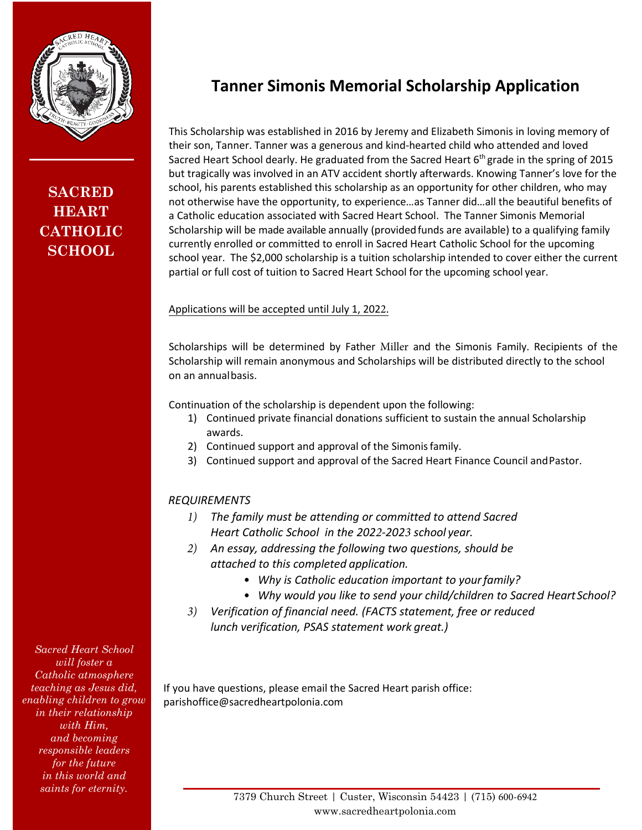

## **Tanner Simonis Memorial Scholarship Application**

**SACRED HEART CATHOLIC SCHOOL**

This Scholarship was established in 2016 by Jeremy and Elizabeth Simonis in loving memory of their son, Tanner. Tanner was a generous and kind-hearted child who attended and loved Sacred Heart School dearly. He graduated from the Sacred Heart  $6<sup>th</sup>$  grade in the spring of 2015 but tragically was involved in an ATV accident shortly afterwards. Knowing Tanner's love for the school, his parents established this scholarship as an opportunity for other children, who may not otherwise have the opportunity, to experience…as Tanner did…all the beautiful benefits of a Catholic education associated with Sacred Heart School. The Tanner Simonis Memorial Scholarship will be made available annually (provided funds are available) to a qualifying family currently enrolled or committed to enroll in Sacred Heart Catholic School for the upcoming school year. The \$2,000 scholarship is a tuition scholarship intended to cover either the current partial or full cost of tuition to Sacred Heart School for the upcoming school year.

## Applications will be accepted until July 1, 2022.

Scholarships will be determined by Father Miller and the Simonis Family. Recipients of the Scholarship will remain anonymous and Scholarships will be distributed directly to the school on an annualbasis.

Continuation of the scholarship is dependent upon the following:

- 1) Continued private financial donations sufficient to sustain the annual Scholarship awards.
- 2) Continued support and approval of the Simonisfamily.
- 3) Continued support and approval of the Sacred Heart Finance Council andPastor.

## *REQUIREMENTS*

- *1) The family must be attending or committed to attend Sacred Heart Catholic School in the 2022-2023 school year.*
- *2) An essay, addressing the following two questions, should be attached to this completed application.*
	- *Why is Catholic education important to yourfamily?*
	- *Why would you like to send your child/children to Sacred HeartSchool?*
- *3) Verification of financial need. (FACTS statement, free or reduced lunch verification, PSAS statement work great.)*

If you have questions, please email the Sacred Heart parish office: parishoffice@sacredheartpolonia.com

*Sacred Heart School will foster a Catholic atmosphere teaching as Jesus did, enabling children to grow in their relationship with Him, and becoming responsible leaders for the future in this world and*